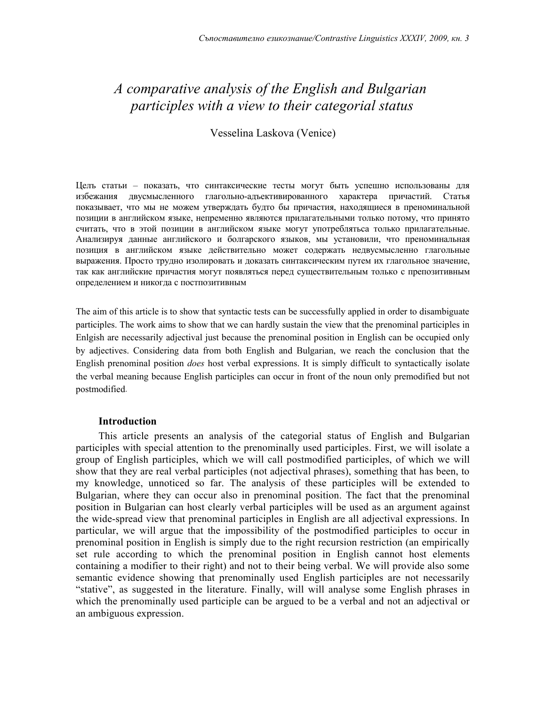# *A comparative analysis of the English and Bulgarian participles with a view to their categorial status*

Vesselina Laskova (Venice)

Целъ статьи – показать, что синтаксические тесты могут быть успешно использованы для избежания двусмысленного глагольно-адъективированного характера причастий. Статья показывает, что мы не можем утверждать будто бы причастия, находящиеся в преноминальной позиции в английском языке, непременно являются прилагательными только потому, что принято считать, что в этой позиции в английском языке могут употреблятьса только прилагательные. Анализируя данные английского и болгарского языков, мы установили, что преноминальная позиция в английском языке действительно может содержать недвусмысленно глагольные выражения. Просто трудно изолировать и доказать синтаксическим путем их глагольное значение, так как английские причастия могут появляться перед существительным только с препозитивным определением и никогда с постпозитивным

The aim of this article is to show that syntactic tests can be successfully applied in order to disambiguate participles. The work aims to show that we can hardly sustain the view that the prenominal participles in Enlgish are necessarily adjectival just because the prenominal position in English can be occupied only by adjectives. Considering data from both English and Bulgarian, we reach the conclusion that the English prenominal position *does* host verbal expressions. It is simply difficult to syntactically isolate the verbal meaning because English participles can occur in front of the noun only premodified but not postmodified.

# **Introduction**

This article presents an analysis of the categorial status of English and Bulgarian participles with special attention to the prenominally used participles. First, we will isolate a group of English participles, which we will call postmodified participles, of which we will show that they are real verbal participles (not adjectival phrases), something that has been, to my knowledge, unnoticed so far. The analysis of these participles will be extended to Bulgarian, where they can occur also in prenominal position. The fact that the prenominal position in Bulgarian can host clearly verbal participles will be used as an argument against the wide-spread view that prenominal participles in English are all adjectival expressions. In particular, we will argue that the impossibility of the postmodified participles to occur in prenominal position in English is simply due to the right recursion restriction (an empirically set rule according to which the prenominal position in English cannot host elements containing a modifier to their right) and not to their being verbal. We will provide also some semantic evidence showing that prenominally used English participles are not necessarily "stative", as suggested in the literature. Finally, will will analyse some English phrases in which the prenominally used participle can be argued to be a verbal and not an adjectival or an ambiguous expression.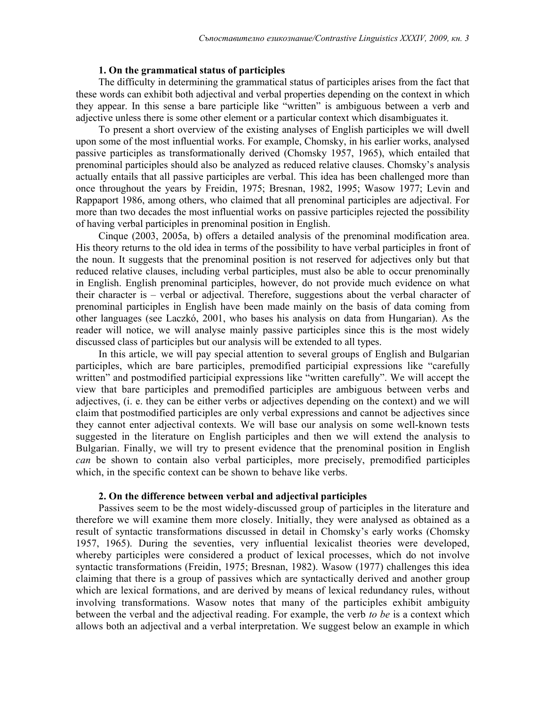#### **1. On the grammatical status of participles**

The difficulty in determining the grammatical status of participles arises from the fact that these words can exhibit both adjectival and verbal properties depending on the context in which they appear. In this sense a bare participle like "written" is ambiguous between a verb and adjective unless there is some other element or a particular context which disambiguates it.

To present a short overview of the existing analyses of English participles we will dwell upon some of the most influential works. For example, Chomsky, in his earlier works, analysed passive participles as transformationally derived (Chomsky 1957, 1965), which entailed that prenominal participles should also be analyzed as reduced relative clauses. Chomsky's analysis actually entails that all passive participles are verbal. This idea has been challenged more than once throughout the years by Freidin, 1975; Bresnan, 1982, 1995; Wasow 1977; Levin and Rappaport 1986, among others, who claimed that all prenominal participles are adjectival. For more than two decades the most influential works on passive participles rejected the possibility of having verbal participles in prenominal position in English.

Cinque (2003, 2005a, b) offers a detailed analysis of the prenominal modification area. His theory returns to the old idea in terms of the possibility to have verbal participles in front of the noun. It suggests that the prenominal position is not reserved for adjectives only but that reduced relative clauses, including verbal participles, must also be able to occur prenominally in English. English prenominal participles, however, do not provide much evidence on what their character is – verbal or adjectival. Therefore, suggestions about the verbal character of prenominal participles in English have been made mainly on the basis of data coming from other languages (see Laczkó, 2001, who bases his analysis on data from Hungarian). As the reader will notice, we will analyse mainly passive participles since this is the most widely discussed class of participles but our analysis will be extended to all types.

In this article, we will pay special attention to several groups of English and Bulgarian participles, which are bare participles, premodified participial expressions like "carefully written" and postmodified participial expressions like "written carefully". We will accept the view that bare participles and premodified participles are ambiguous between verbs and adjectives, (i. e. they can be either verbs or adjectives depending on the context) and we will claim that postmodified participles are only verbal expressions and cannot be adjectives since they cannot enter adjectival contexts. We will base our analysis on some well-known tests suggested in the literature on English participles and then we will extend the analysis to Bulgarian. Finally, we will try to present evidence that the prenominal position in English *can* be shown to contain also verbal participles, more precisely, premodified participles which, in the specific context can be shown to behave like verbs.

#### **2. On the difference between verbal and adjectival participles**

Passives seem to be the most widely-discussed group of participles in the literature and therefore we will examine them more closely. Initially, they were analysed as obtained as a result of syntactic transformations discussed in detail in Chomsky's early works (Chomsky 1957, 1965). During the seventies, very influential lexicalist theories were developed, whereby participles were considered a product of lexical processes, which do not involve syntactic transformations (Freidin, 1975; Bresnan, 1982). Wasow (1977) challenges this idea claiming that there is a group of passives which are syntactically derived and another group which are lexical formations, and are derived by means of lexical redundancy rules, without involving transformations. Wasow notes that many of the participles exhibit ambiguity between the verbal and the adjectival reading. For example, the verb *to be* is a context which allows both an adjectival and a verbal interpretation. We suggest below an example in which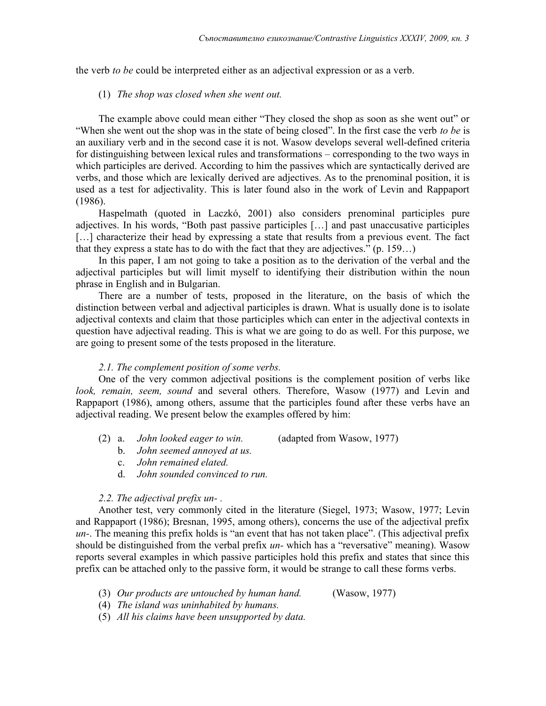the verb *to be* could be interpreted either as an adjectival expression or as a verb.

#### (1) *The shop was closed when she went out.*

The example above could mean either "They closed the shop as soon as she went out" or "When she went out the shop was in the state of being closed". In the first case the verb *to be* is an auxiliary verb and in the second case it is not. Wasow develops several well-defined criteria for distinguishing between lexical rules and transformations – corresponding to the two ways in which participles are derived. According to him the passives which are syntactically derived are verbs, and those which are lexically derived are adjectives. As to the prenominal position, it is used as a test for adjectivality. This is later found also in the work of Levin and Rappaport (1986).

Haspelmath (quoted in Laczkó, 2001) also considers prenominal participles pure adjectives. In his words, "Both past passive participles […] and past unaccusative participles [...] characterize their head by expressing a state that results from a previous event. The fact that they express a state has to do with the fact that they are adjectives." (p. 159…)

In this paper, I am not going to take a position as to the derivation of the verbal and the adjectival participles but will limit myself to identifying their distribution within the noun phrase in English and in Bulgarian.

There are a number of tests, proposed in the literature, on the basis of which the distinction between verbal and adjectival participles is drawn. What is usually done is to isolate adjectival contexts and claim that those participles which can enter in the adjectival contexts in question have adjectival reading. This is what we are going to do as well. For this purpose, we are going to present some of the tests proposed in the literature.

# *2.1. The complement position of some verbs.*

One of the very common adjectival positions is the complement position of verbs like *look, remain, seem, sound* and several others. Therefore, Wasow (1977) and Levin and Rappaport (1986), among others, assume that the participles found after these verbs have an adjectival reading. We present below the examples offered by him:

- (2) a. *John looked eager to win.* (adapted from Wasow, 1977)
	- b. *John seemed annoyed at us.*
	- c. *John remained elated.*
	- d. *John sounded convinced to run.*

### *2.2. The adjectival prefix un- .*

Another test, very commonly cited in the literature (Siegel, 1973; Wasow, 1977; Levin and Rappaport (1986); Bresnan, 1995, among others), concerns the use of the adjectival prefix *un-*. The meaning this prefix holds is "an event that has not taken place". (This adjectival prefix should be distinguished from the verbal prefix *un-* which has a "reversative" meaning). Wasow reports several examples in which passive participles hold this prefix and states that since this prefix can be attached only to the passive form, it would be strange to call these forms verbs.

- (3) *Our products are untouched by human hand.* (Wasow, 1977)
- (4) *The island was uninhabited by humans.*
- (5) *All his claims have been unsupported by data.*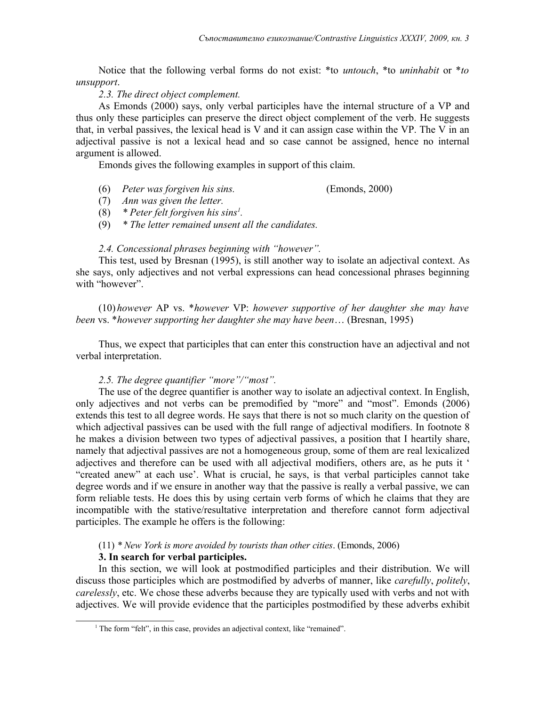Notice that the following verbal forms do not exist: \*to *untouch*, \*to *uninhabit* or \**to unsupport*.

# *2.3. The direct object complement.*

As Emonds (2000) says, only verbal participles have the internal structure of a VP and thus only these participles can preserve the direct object complement of the verb. He suggests that, in verbal passives, the lexical head is V and it can assign case within the VP. The V in an adjectival passive is not a lexical head and so case cannot be assigned, hence no internal argument is allowed.

Emonds gives the following examples in support of this claim.

- (6) *Peter was forgiven his sins.* (Emonds, 2000)
- (7) *Ann was given the letter.*
- (8) *\* Peter felt forgiven his sins[1](#page-3-0) .*
- (9) *\* The letter remained unsent all the candidates.*

# *2.4. Concessional phrases beginning with "however".*

This test, used by Bresnan (1995), is still another way to isolate an adjectival context. As she says, only adjectives and not verbal expressions can head concessional phrases beginning with "however".

(10) *however* AP vs. \**however* VP: *however supportive of her daughter she may have been* vs. \**however supporting her daughter she may have been*… (Bresnan, 1995)

Thus, we expect that participles that can enter this construction have an adjectival and not verbal interpretation.

# *2.5. The degree quantifier "more"/"most".*

The use of the degree quantifier is another way to isolate an adjectival context. In English, only adjectives and not verbs can be premodified by "more" and "most". Emonds (2006) extends this test to all degree words. He says that there is not so much clarity on the question of which adjectival passives can be used with the full range of adjectival modifiers. In footnote 8 he makes a division between two types of adjectival passives, a position that I heartily share, namely that adjectival passives are not a homogeneous group, some of them are real lexicalized adjectives and therefore can be used with all adjectival modifiers, others are, as he puts it ' "created anew" at each use'. What is crucial, he says, is that verbal participles cannot take degree words and if we ensure in another way that the passive is really a verbal passive, we can form reliable tests. He does this by using certain verb forms of which he claims that they are incompatible with the stative/resultative interpretation and therefore cannot form adjectival participles. The example he offers is the following:

# (11) *\* New York is more avoided by tourists than other cities*. (Emonds, 2006)

# **3. In search for verbal participles.**

In this section, we will look at postmodified participles and their distribution. We will discuss those participles which are postmodified by adverbs of manner, like *carefully*, *politely*, *carelessly*, etc. We chose these adverbs because they are typically used with verbs and not with adjectives. We will provide evidence that the participles postmodified by these adverbs exhibit

<span id="page-3-0"></span><sup>&</sup>lt;sup>1</sup> The form "felt", in this case, provides an adjectival context, like "remained".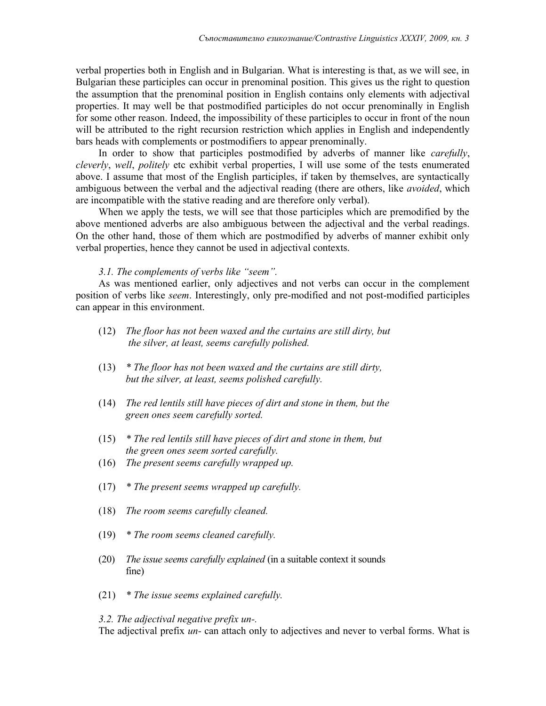verbal properties both in English and in Bulgarian. What is interesting is that, as we will see, in Bulgarian these participles can occur in prenominal position. This gives us the right to question the assumption that the prenominal position in English contains only elements with adjectival properties. It may well be that postmodified participles do not occur prenominally in English for some other reason. Indeed, the impossibility of these participles to occur in front of the noun will be attributed to the right recursion restriction which applies in English and independently bars heads with complements or postmodifiers to appear prenominally.

In order to show that participles postmodified by adverbs of manner like *carefully*, *cleverly*, *well*, *politely* etc exhibit verbal properties, I will use some of the tests enumerated above. I assume that most of the English participles, if taken by themselves, are syntactically ambiguous between the verbal and the adjectival reading (there are others, like *avoided*, which are incompatible with the stative reading and are therefore only verbal).

When we apply the tests, we will see that those participles which are premodified by the above mentioned adverbs are also ambiguous between the adjectival and the verbal readings. On the other hand, those of them which are postmodified by adverbs of manner exhibit only verbal properties, hence they cannot be used in adjectival contexts.

### *3.1. The complements of verbs like "seem".*

As was mentioned earlier, only adjectives and not verbs can occur in the complement position of verbs like *seem*. Interestingly, only pre-modified and not post-modified participles can appear in this environment.

- (12) *The floor has not been waxed and the curtains are still dirty, but the silver, at least, seems carefully polished.*
- (13) *\* The floor has not been waxed and the curtains are still dirty, but the silver, at least, seems polished carefully.*
- (14) *The red lentils still have pieces of dirt and stone in them, but the green ones seem carefully sorted.*
- (15) *\* The red lentils still have pieces of dirt and stone in them, but the green ones seem sorted carefully.*
- (16) *The present seems carefully wrapped up.*
- (17) *\* The present seems wrapped up carefully.*
- (18) *The room seems carefully cleaned.*
- (19) *\* The room seems cleaned carefully.*
- (20) *The issue seems carefully explained* (in a suitable context it sounds fine)
- (21) *\* The issue seems explained carefully.*

*3.2. The adjectival negative prefix un-.*

The adjectival prefix *un-* can attach only to adjectives and never to verbal forms. What is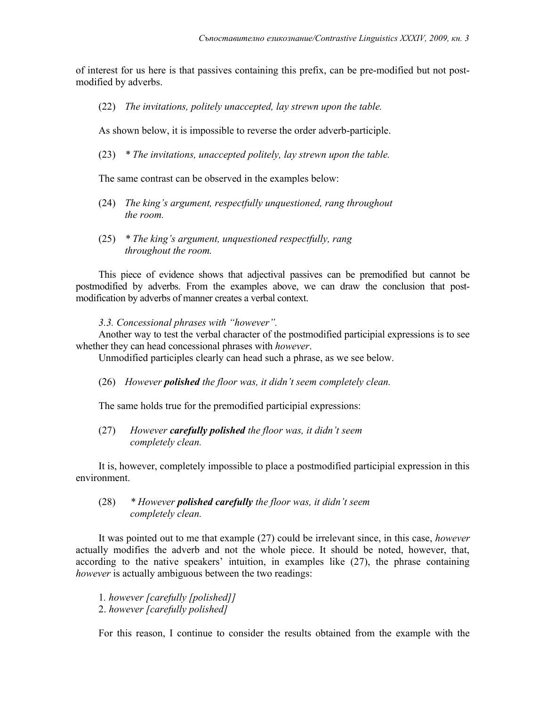of interest for us here is that passives containing this prefix, can be pre-modified but not postmodified by adverbs.

(22) *The invitations, politely unaccepted, lay strewn upon the table.*

As shown below, it is impossible to reverse the order adverb-participle.

(23) *\* The invitations, unaccepted politely, lay strewn upon the table.*

The same contrast can be observed in the examples below:

- (24) *The king's argument, respectfully unquestioned, rang throughout the room.*
- (25) *\* The king's argument, unquestioned respectfully, rang throughout the room.*

This piece of evidence shows that adjectival passives can be premodified but cannot be postmodified by adverbs. From the examples above, we can draw the conclusion that postmodification by adverbs of manner creates a verbal context.

*3.3. Concessional phrases with "however".*

Another way to test the verbal character of the postmodified participial expressions is to see whether they can head concessional phrases with *however*.

Unmodified participles clearly can head such a phrase, as we see below.

(26) *However polished the floor was, it didn't seem completely clean.*

The same holds true for the premodified participial expressions:

(27) *However carefully polished the floor was, it didn't seem completely clean.* 

It is, however, completely impossible to place a postmodified participial expression in this environment.

(28) *\* However polished carefully the floor was, it didn't seem completely clean.* 

It was pointed out to me that example (27) could be irrelevant since, in this case, *however* actually modifies the adverb and not the whole piece. It should be noted, however, that, according to the native speakers' intuition, in examples like (27), the phrase containing *however* is actually ambiguous between the two readings:

1*. however [carefully [polished]]* 2. *however [carefully polished]* 

For this reason, I continue to consider the results obtained from the example with the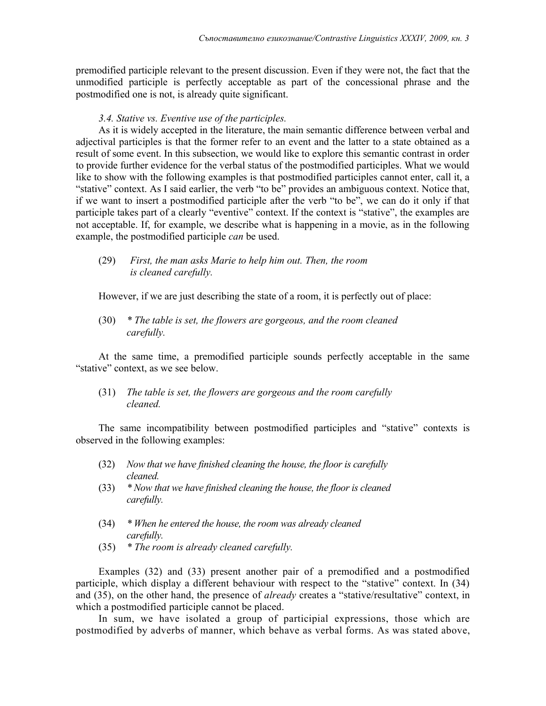premodified participle relevant to the present discussion. Even if they were not, the fact that the unmodified participle is perfectly acceptable as part of the concessional phrase and the postmodified one is not, is already quite significant.

# *3.4. Stative vs. Eventive use of the participles.*

As it is widely accepted in the literature, the main semantic difference between verbal and adjectival participles is that the former refer to an event and the latter to a state obtained as a result of some event. In this subsection, we would like to explore this semantic contrast in order to provide further evidence for the verbal status of the postmodified participles. What we would like to show with the following examples is that postmodified participles cannot enter, call it, a "stative" context. As I said earlier, the verb "to be" provides an ambiguous context. Notice that, if we want to insert a postmodified participle after the verb "to be", we can do it only if that participle takes part of a clearly "eventive" context. If the context is "stative", the examples are not acceptable. If, for example, we describe what is happening in a movie, as in the following example, the postmodified participle *can* be used.

(29) *First, the man asks Marie to help him out. Then, the room is cleaned carefully.* 

However, if we are just describing the state of a room, it is perfectly out of place:

(30) *\* The table is set, the flowers are gorgeous, and the room cleaned carefully.* 

At the same time, a premodified participle sounds perfectly acceptable in the same "stative" context, as we see below.

(31) *The table is set, the flowers are gorgeous and the room carefully cleaned.* 

The same incompatibility between postmodified participles and "stative" contexts is observed in the following examples:

- (32) *Now that we have finished cleaning the house, the floor is carefully cleaned.*
- (33) *\* Now that we have finished cleaning the house, the floor is cleaned carefully.*
- (34) *\* When he entered the house, the room was already cleaned carefully.*
- (35) *\* The room is already cleaned carefully.*

Examples (32) and (33) present another pair of a premodified and a postmodified participle, which display a different behaviour with respect to the "stative" context. In (34) and (35), on the other hand, the presence of *already* creates a "stative/resultative" context, in which a postmodified participle cannot be placed.

In sum, we have isolated a group of participial expressions, those which are postmodified by adverbs of manner, which behave as verbal forms. As was stated above,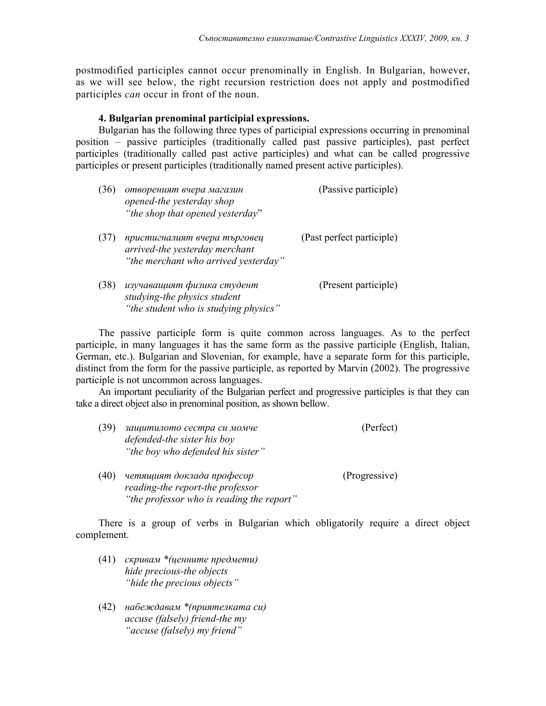postmodified participles cannot occur prenominally in English. In Bulgarian, however, as we will see below, the right recursion restriction does not apply and postmodified participles *can* occur in front of the noun.

# **4. Bulgarian prenominal participial expressions.**

Bulgarian has the following three types of participial expressions occurring in prenominal position – passive participles (traditionally called past passive participles), past perfect participles (traditionally called past active participles) and what can be called progressive participles or present participles (traditionally named present active participles).

| (36) | отвореният вчера магазин<br>opened-the yesterday shop<br>"the shop that opened yesterday"              | (Passive participle)      |
|------|--------------------------------------------------------------------------------------------------------|---------------------------|
| (37) | пристигналият вчера търговец<br>arrived-the yesterday merchant<br>"the merchant who arrived yesterday" | (Past perfect participle) |
| (38) | изучаващият физика студент<br>studying-the physics student<br>"the student who is studying physics"    | (Present participle)      |

The passive participle form is quite common across languages. As to the perfect participle, in many languages it has the same form as the passive participle (English, Italian, German, etc.). Bulgarian and Slovenian, for example, have a separate form for this participle, distinct from the form for the passive participle, as reported by Marvin (2002). The progressive participle is not uncommon across languages.

An important peculiarity of the Bulgarian perfect and progressive participles is that they can take a direct object also in prenominal position, as shown bellow.

| (39) | защитилото сестра си момче<br>defended-the sister his boy<br>"the boy who defended his sister"             | (Perfect)     |
|------|------------------------------------------------------------------------------------------------------------|---------------|
| (40) | четящият доклада професор<br>reading-the report-the professor<br>"the professor who is reading the report" | (Progressive) |

There is a group of verbs in Bulgarian which obligatorily require a direct object complement.

- (41) *скривам \*(ценните предмети) hide precious-the objects "hide the precious objects"*
- (42) *набеждавам \*(приятелката си) accuse (falsely) friend-the my "accuse (falsely) my friend"*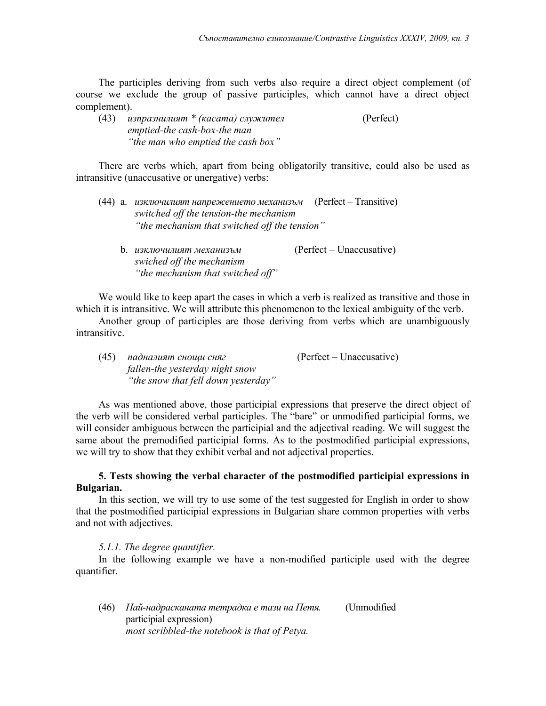The participles deriving from such verbs also require a direct object complement (of course we exclude the group of passive participles, which cannot have a direct object complement).

| (43) | изпразнилият * (касата) служител   | (Perfect) |
|------|------------------------------------|-----------|
|      | emptied-the cash-box-the man       |           |
|      | "the man who emptied the cash box" |           |

There are verbs which, apart from being obligatorily transitive, could also be used as intransitive (unaccusative or unergative) verbs:

|  | (44) а. <i>изключилият напрежението механизъм</i> (Perfect – Transitive) |  |
|--|--------------------------------------------------------------------------|--|
|  | switched off the tension-the mechanism                                   |  |
|  | "the mechanism that switched off the tension"                            |  |
|  |                                                                          |  |

b. *изключилият механизъм* (Perfect – Unaccusative) *swiched off the mechanism "the mechanism that switched off"*

We would like to keep apart the cases in which a verb is realized as transitive and those in which it is intransitive. We will attribute this phenomenon to the lexical ambiguity of the verb.

Another group of participles are those deriving from verbs which are unambiguously intransitive.

(45) *падналият снощи сняг* (Perfect – Unaccusative) *fallen-the yesterday night snow "the snow that fell down yesterday"*

As was mentioned above, those participial expressions that preserve the direct object of the verb will be considered verbal participles. The "bare" or unmodified participial forms, we will consider ambiguous between the participial and the adjectival reading. We will suggest the same about the premodified participial forms. As to the postmodified participial expressions, we will try to show that they exhibit verbal and not adjectival properties.

# **5. Tests showing the verbal character of the postmodified participial expressions in Bulgarian.**

In this section, we will try to use some of the test suggested for English in order to show that the postmodified participial expressions in Bulgarian share common properties with verbs and not with adjectives.

# *5.1.1. The degree quantifier.*

In the following example we have a non-modified participle used with the degree quantifier.

(46) *Най-надрасканата тетрадка е тази на Петя.* (Unmodified participial expression) *most scribbled-the notebook is that of Petya.*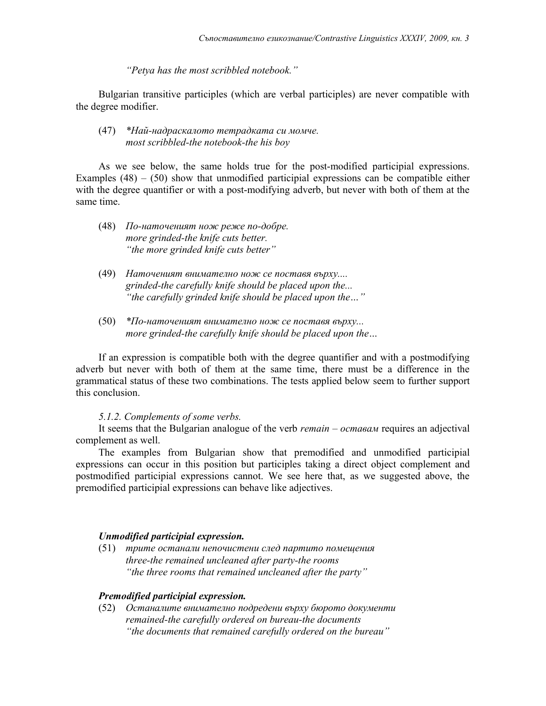*"Petya has the most scribbled notebook."*

Bulgarian transitive participles (which are verbal participles) are never compatible with the degree modifier.

### (47) *\*Най-надраскалото тетрадката си момче. most scribbled-the notebook-the his boy*

As we see below, the same holds true for the post-modified participial expressions. Examples  $(48) - (50)$  show that unmodified participial expressions can be compatible either with the degree quantifier or with a post-modifying adverb, but never with both of them at the same time.

- (48) *По-наточеният нож реже по-добре. more grinded-the knife cuts better. "the more grinded knife cuts better"*
- (49) *Наточеният внимателно нож се поставя върху.... grinded-the carefully knife should be placed upon the... "the carefully grinded knife should be placed upon the…"*
- (50) *\*По-наточеният внимателно нож се поставя върху... more grinded-the carefully knife should be placed upon the…*

If an expression is compatible both with the degree quantifier and with a postmodifying adverb but never with both of them at the same time, there must be a difference in the grammatical status of these two combinations. The tests applied below seem to further support this conclusion.

#### *5.1.2. Complements of some verbs.*

It seems that the Bulgarian analogue of the verb *remain* – *оставам* requires an adjectival complement as well.

The examples from Bulgarian show that premodified and unmodified participial expressions can occur in this position but participles taking a direct object complement and postmodified participial expressions cannot. We see here that, as we suggested above, the premodified participial expressions can behave like adjectives.

# *Unmodified participial expression.*

(51) *трите останали непочистени след партито помещения three-the remained uncleaned after party-the rooms "the three rooms that remained uncleaned after the party"*

#### *Premodified participial expression.*

(52) *Останалите внимателно подредени върху бюрото документи remained-the carefully ordered on bureau-the documents "the documents that remained carefully ordered on the bureau"*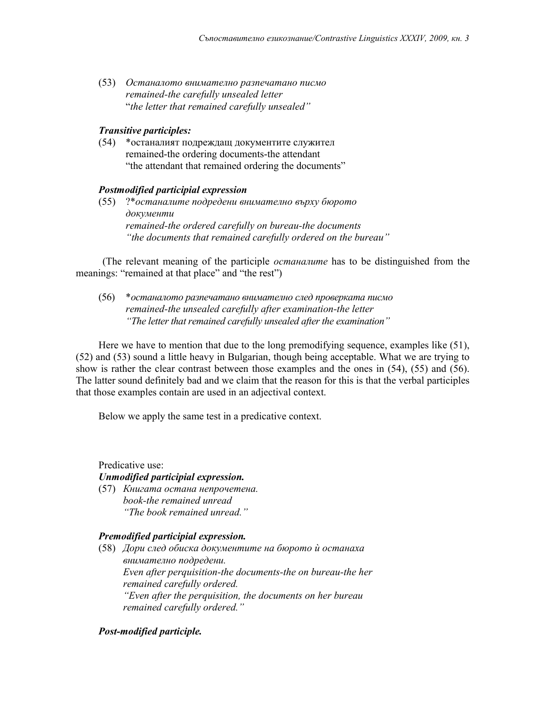(53) *Останалото внимателно разпечатано писмо remained-the carefully unsealed letter* "*the letter that remained carefully unsealed"*

# *Transitive participles:*

(54) \*останалият подреждащ документите служител remained-the ordering documents-the attendant "the attendant that remained ordering the documents"

# *Postmodified participial expression*

(55) ?\**останалите подредени внимателно върху бюрото документи remained-the ordered carefully on bureau-the documents "the documents that remained carefully ordered on the bureau"*

 (The relevant meaning of the participle *останалите* has to be distinguished from the meanings: "remained at that place" and "the rest")

(56) \**останалото разпечатано внимателно след проверката писмо remained-the unsealed carefully after examination-the letter "The letter that remained carefully unsealed after the examination"*

Here we have to mention that due to the long premodifying sequence, examples like (51), (52) and (53) sound a little heavy in Bulgarian, though being acceptable. What we are trying to show is rather the clear contrast between those examples and the ones in (54), (55) and (56). The latter sound definitely bad and we claim that the reason for this is that the verbal participles that those examples contain are used in an adjectival context.

Below we apply the same test in a predicative context.

Predicative use:

# *Unmodified participial expression.*

(57) *Книгата остана непрочетена. book-the remained unread "The book remained unread."*

# *Premodified participial expression.*

(58) *Дори след обиска документите на бюрото ѝ останаха внимателно подредени. Even after perquisition-the documents-the on bureau-the her remained carefully ordered. "Even after the perquisition, the documents on her bureau remained carefully ordered."*

# *Post-modified participle.*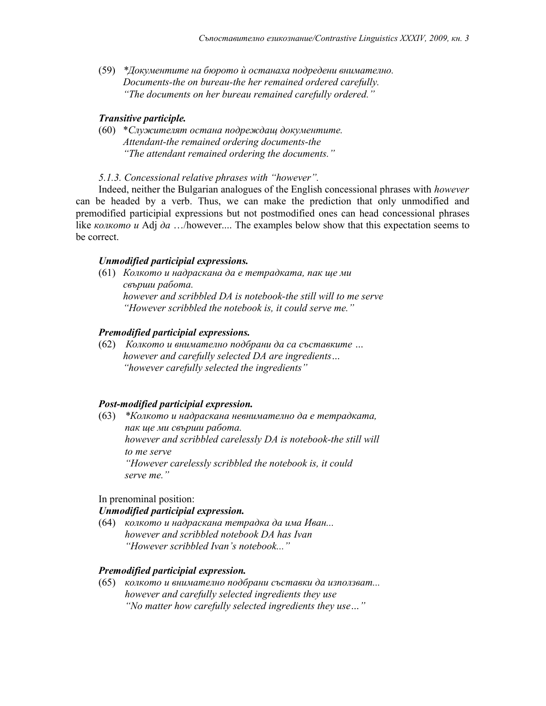(59) *\*Документите на бюрото ѝ останаха подредени внимателно. Documents-the on bureau-the her remained ordered carefully. "The documents on her bureau remained carefully ordered."*

# *Transitive participle.*

(60) \**Служителят остана подреждащ документите. Attendant-the remained ordering documents-the "The attendant remained ordering the documents."*

### *5.1.3. Concessional relative phrases with "however".*

Indeed, neither the Bulgarian analogues of the English concessional phrases with *however* can be headed by a verb. Thus, we can make the prediction that only unmodified and premodified participial expressions but not postmodified ones can head concessional phrases like *колкото и* Adj *да* …/however.... The examples below show that this expectation seems to be correct.

#### *Unmodified participial expressions.*

(61) *Колкотo и надраскана да е тетрадката, пак ще ми свърши работа. however and scribbled DA is notebook-the still will to me serve "However scribbled the notebook is, it could serve me."*

#### *Premodified participial expressions.*

(62) *Колкото и внимателно подбрани да са съставките … however and carefully selected DA are ingredients… "however carefully selected the ingredients"*

#### *Post-modified participial expression.*

(63) *\*Колкото и надраскана невнимателно да е тетрадката, пак ще ми свърши работа. however and scribbled carelessly DA is notebook-the still will to me serve "However carelessly scribbled the notebook is, it could serve me."*

#### In prenominal position:

# *Unmodified participial expression.*

(64) *колкото и надраскана тетрадка да има Иван... however and scribbled notebook DA has Ivan "However scribbled Ivan's notebook..."*

# *Premodified participial expression.*

(65) *колкото и внимателно подбрани съставки да използват... however and carefully selected ingredients they use "No matter how carefully selected ingredients they use…"*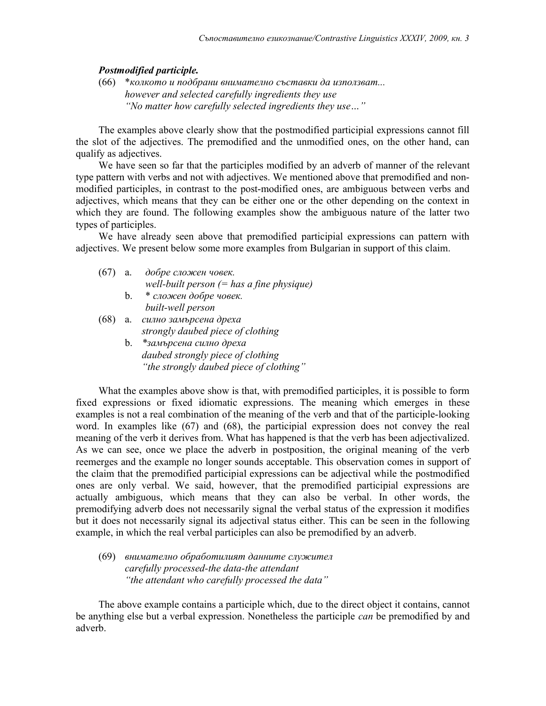#### *Postmodified participle.*

(66) \**колкото и подбрани внимателно съставки да използват... however and selected carefully ingredients they use "No matter how carefully selected ingredients they use…"*

The examples above clearly show that the postmodified participial expressions cannot fill the slot of the adjectives. The premodified and the unmodified ones, on the other hand, can qualify as adjectives.

We have seen so far that the participles modified by an adverb of manner of the relevant type pattern with verbs and not with adjectives. We mentioned above that premodified and nonmodified participles, in contrast to the post-modified ones, are ambiguous between verbs and adjectives, which means that they can be either one or the other depending on the context in which they are found. The following examples show the ambiguous nature of the latter two types of participles.

We have already seen above that premodified participial expressions can pattern with adjectives. We present below some more examples from Bulgarian in support of this claim.

| (67) | а.      | добре сложен човек.                         |
|------|---------|---------------------------------------------|
|      |         | well-built person $(=$ has a fine physique) |
|      | $b_{1}$ | * сложен добре човек.                       |
|      |         | built-well person                           |
| (68) | a.      | силно замърсена дреха                       |
|      |         | strongly daubed piece of clothing           |

| b. | *замърсена силно дреха                  |  |  |
|----|-----------------------------------------|--|--|
|    | daubed strongly piece of clothing       |  |  |
|    | "the strongly daubed piece of clothing" |  |  |

What the examples above show is that, with premodified participles, it is possible to form fixed expressions or fixed idiomatic expressions. The meaning which emerges in these examples is not a real combination of the meaning of the verb and that of the participle-looking word. In examples like (67) and (68), the participial expression does not convey the real meaning of the verb it derives from. What has happened is that the verb has been adjectivalized. As we can see, once we place the adverb in postposition, the original meaning of the verb reemerges and the example no longer sounds acceptable. This observation comes in support of the claim that the premodified participial expressions can be adjectival while the postmodified ones are only verbal. We said, however, that the premodified participial expressions are actually ambiguous, which means that they can also be verbal. In other words, the premodifying adverb does not necessarily signal the verbal status of the expression it modifies but it does not necessarily signal its adjectival status either. This can be seen in the following example, in which the real verbal participles can also be premodified by an adverb.

(69) *внимателно обработилият данните служител carefully processed-the data-the attendant "the attendant who carefully processed the data"*

The above example contains a participle which, due to the direct object it contains, cannot be anything else but a verbal expression. Nonetheless the participle *can* be premodified by and adverb.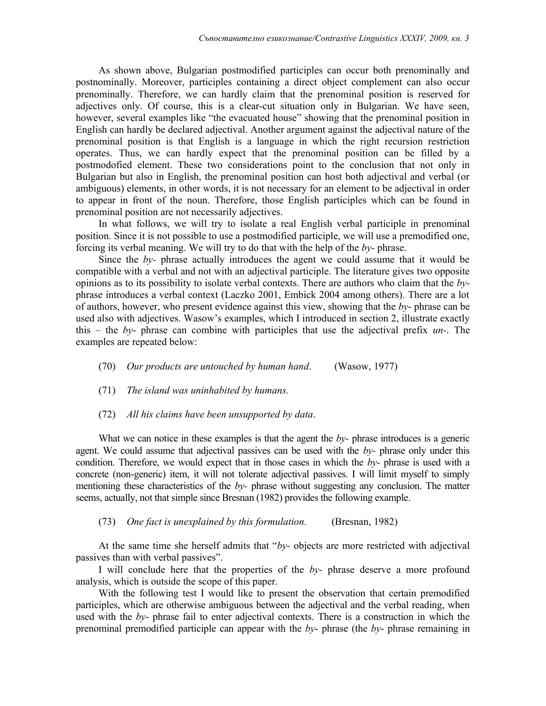As shown above, Bulgarian postmodified participles can occur both prenominally and postnominally. Moreover, participles containing a direct object complement can also occur prenominally. Therefore, we can hardly claim that the prenominal position is reserved for adjectives only. Of course, this is a clear-cut situation only in Bulgarian. We have seen, however, several examples like "the evacuated house" showing that the prenominal position in English can hardly be declared adjectival. Another argument against the adjectival nature of the prenominal position is that English is a language in which the right recursion restriction operates. Thus, we can hardly expect that the prenominal position can be filled by a postmodofied element. These two considerations point to the conclusion that not only in Bulgarian but also in English, the prenominal position can host both adjectival and verbal (or ambiguous) elements, in other words, it is not necessary for an element to be adjectival in order to appear in front of the noun. Therefore, those English participles which can be found in prenominal position are not necessarily adjectives.

In what follows, we will try to isolate a real English verbal participle in prenominal position. Since it is not possible to use a postmodified participle, we will use a premodified one, forcing its verbal meaning. We will try to do that with the help of the *by-* phrase.

Since the *by-* phrase actually introduces the agent we could assume that it would be compatible with a verbal and not with an adjectival participle. The literature gives two opposite opinions as to its possibility to isolate verbal contexts. There are authors who claim that the *by*phrase introduces a verbal context (Laczko 2001, Embick 2004 among others). There are a lot of authors, however, who present evidence against this view, showing that the *by*- phrase can be used also with adjectives. Wasow's examples, which I introduced in section 2, illustrate exactly this – the *by*- phrase can combine with participles that use the adjectival prefix *un-*. The examples are repeated below:

- (70) *Our products are untouched by human hand*. (Wasow, 1977)
- (71) *The island was uninhabited by humans.*
- (72) *All his claims have been unsupported by data*.

What we can notice in these examples is that the agent the *by*- phrase introduces is a generic agent. We could assume that adjectival passives can be used with the *by-* phrase only under this condition. Therefore, we would expect that in those cases in which the *by-* phrase is used with a concrete (non-generic) item, it will not tolerate adjectival passives. I will limit myself to simply mentioning these characteristics of the *by-* phrase without suggesting any conclusion. The matter seems, actually, not that simple since Bresnan (1982) provides the following example.

(73) *One fact is unexplained by this formulation.* (Bresnan, 1982)

At the same time she herself admits that "*by-* objects are more restricted with adjectival passives than with verbal passives".

I will conclude here that the properties of the *by-* phrase deserve a more profound analysis, which is outside the scope of this paper.

With the following test I would like to present the observation that certain premodified participles, which are otherwise ambiguous between the adjectival and the verbal reading, when used with the *by*- phrase fail to enter adjectival contexts. There is a construction in which the prenominal premodified participle can appear with the *by*- phrase (the *by*- phrase remaining in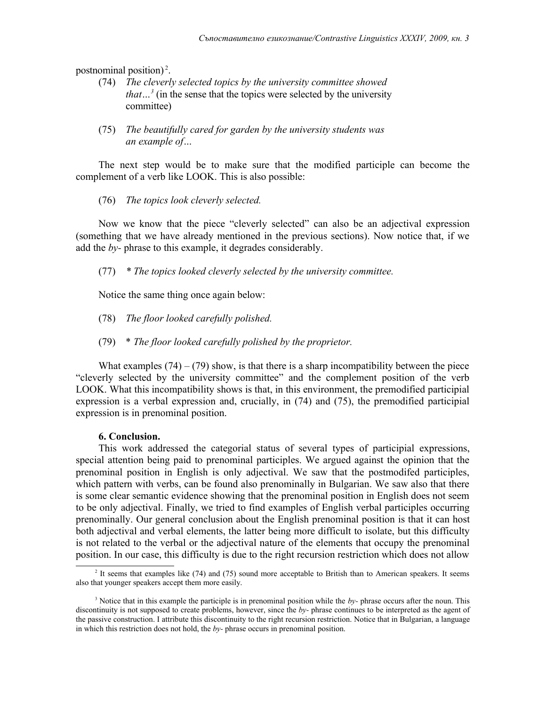postnominal position)<sup>[2](#page-14-0)</sup>.

- (74) *The cleverly selected topics by the university committee showed that*...<sup>[3](#page-14-1)</sup> (in the sense that the topics were selected by the university committee)
- (75) *The beautifully cared for garden by the university students was an example of…*

The next step would be to make sure that the modified participle can become the complement of a verb like LOOK. This is also possible:

(76) *The topics look cleverly selected.* 

Now we know that the piece "cleverly selected" can also be an adjectival expression (something that we have already mentioned in the previous sections). Now notice that, if we add the *by-* phrase to this example, it degrades considerably.

(77) *\* The topics looked cleverly selected by the university committee.*

Notice the same thing once again below:

(78) *The floor looked carefully polished.*

(79) \* *The floor looked carefully polished by the proprietor.*

What examples  $(74) - (79)$  show, is that there is a sharp incompatibility between the piece "cleverly selected by the university committee" and the complement position of the verb LOOK. What this incompatibility shows is that, in this environment, the premodified participial expression is a verbal expression and, crucially, in (74) and (75), the premodified participial expression is in prenominal position.

### **6. Conclusion.**

This work addressed the categorial status of several types of participial expressions, special attention being paid to prenominal participles. We argued against the opinion that the prenominal position in English is only adjectival. We saw that the postmodifed participles, which pattern with verbs, can be found also prenominally in Bulgarian. We saw also that there is some clear semantic evidence showing that the prenominal position in English does not seem to be only adjectival. Finally, we tried to find examples of English verbal participles occurring prenominally. Our general conclusion about the English prenominal position is that it can host both adjectival and verbal elements, the latter being more difficult to isolate, but this difficulty is not related to the verbal or the adjectival nature of the elements that occupy the prenominal position. In our case, this difficulty is due to the right recursion restriction which does not allow

<span id="page-14-0"></span><sup>&</sup>lt;sup>2</sup> It seems that examples like (74) and (75) sound more acceptable to British than to American speakers. It seems also that younger speakers accept them more easily.

<span id="page-14-1"></span><sup>3</sup> Notice that in this example the participle is in prenominal position while the *by-* phrase occurs after the noun. This discontinuity is not supposed to create problems, however, since the *by-* phrase continues to be interpreted as the agent of the passive construction. I attribute this discontinuity to the right recursion restriction. Notice that in Bulgarian, a language in which this restriction does not hold, the *by-* phrase occurs in prenominal position.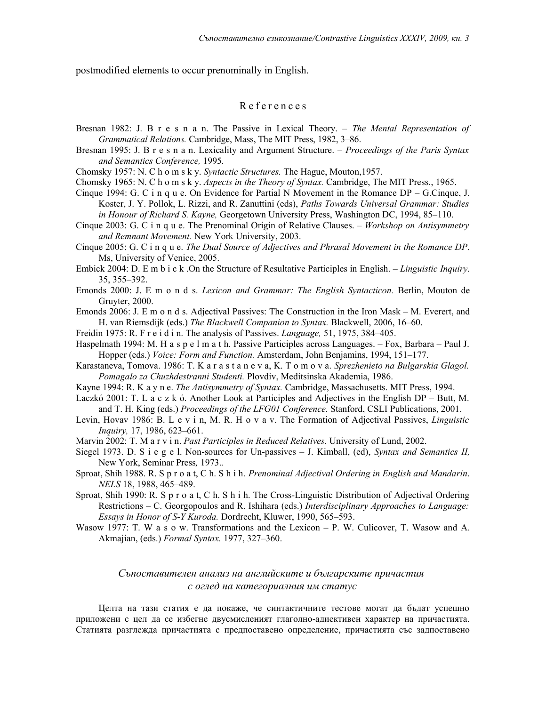postmodified elements to occur prenominally in English.

### R e f e r e n c e s

- Bresnan 1982: J. B r e s n a n. The Passive in Lexical Theory. *The Mental Representation of Grammatical Relations.* Cambridge, Mass, The MIT Press, 1982, 3–86.
- Bresnan 1995: J. B r e s n a n. Lexicality and Argument Structure. *Proceedings of the Paris Syntax and Semantics Conference,* 1995*.*
- Chomsky 1957: N. C h o m s k y. *Syntactic Structures.* The Hague, Mouton,1957.
- Chomsky 1965: N. C h o m s k y. *Aspects in the Theory of Syntax.* Cambridge, The MIT Press., 1965.
- Cinque 1994: G. C i n q u e. On Evidence for Partial N Movement in the Romance DP G.Cinque, J. Koster, J. Y. Pollok, L. Rizzi, and R. Zanuttini (eds), *Paths Towards Universal Grammar: Studies in Honour of Richard S. Kayne,* Georgetown University Press, Washington DC, 1994, 85–110.
- Cinque 2003: G. C i n q u e. The Prenominal Origin of Relative Clauses. *Workshop on Antisymmetry and Remnant Movement.* New York University, 2003.
- Cinque 2005: G. C i n q u e. *The Dual Source of Adjectives and Phrasal Movement in the Romance DP*. Ms, University of Venice, 2005.
- Embick 2004: D. E m b i c k .On the Structure of Resultative Participles in English. *Linguistic Inquiry.* 35, 355–392.
- Emonds 2000: J. E m o n d s. *Lexicon and Grammar: The English Syntacticon.* Berlin, Mouton de Gruyter, 2000.
- Emonds 2006: J. E m o n d s. Adjectival Passives: The Construction in the Iron Mask M. Everert, and H. van Riemsdijk (eds.) *The Blackwell Companion to Syntax.* Blackwell, 2006, 16–60.
- Freidin 1975: R. F r e i d i n. The analysis of Passives. *Language,* 51, 1975, 384–405.
- Haspelmath 1994: M. H a s p e l m a t h. Passive Participles across Languages. Fox, Barbara Paul J. Hopper (eds.) *Voice: Form and Function.* Amsterdam, John Benjamins, 1994, 151–177.
- Karastaneva, Tomova. 1986: T. K a r a s t a n e v a, K. T o m o v a. *Sprezhenieto na Bulgarskia Glagol. Pomagalo za Chuzhdestranni Studenti.* Plovdiv, Meditsinska Akademia, 1986.
- Kayne 1994: R. K a y n e. *The Antisymmetry of Syntax.* Cambridge, Massachusetts. MIT Press, 1994.
- Laczkó 2001: T. L a c z k ó. Another Look at Participles and Adjectives in the English DP Butt, M. and T. H. King (eds.) *Proceedings of the LFG01 Conference.* Stanford, CSLI Publications, 2001.
- Levin, Hovav 1986: B. L e v i n, M. R. H o v a v. The Formation of Adjectival Passives, *Linguistic Inquiry,* 17, 1986, 623–661.
- Marvin 2002: T. M a r v i n. *Past Participles in Reduced Relatives.* University of Lund, 2002.
- Siegel 1973. D. S i e g e l. Non-sources for Un-passives J. Kimball, (ed), *Syntax and Semantics II,* New York, Seminar Press*,* 1973.*.*
- Sproat, Shih 1988. R. S p r o a t, C h. S h i h. *Prenominal Adjectival Ordering in English and Mandarin*. *NELS* 18, 1988, 465–489.
- Sproat, Shih 1990: R. S p r o a t, C h. S h i h. The Cross-Linguistic Distribution of Adjectival Ordering Restrictions – C. Georgopoulos and R. Ishihara (eds.) *Interdisciplinary Approaches to Language: Essays in Honor of S-Y Kuroda.* Dordrecht, Kluwer, 1990, 565–593.
- Wasow 1977: T. W a s o w. Transformations and the Lexicon P. W. Culicover, T. Wasow and A. Akmajian, (eds.) *Formal Syntax.* 1977, 327–360.

# *Съпоставителен анализ на английските и българските причастия с оглед на категориалния им статус*

Целта на тази статия е да покаже, че синтактичните тестове могат да бъдат успешно приложени с цел да се избегне двусмисленият глаголно-адиективен характер на причастията. Статията разглежда причастията с предпоставено определение, причастията със задпоставено